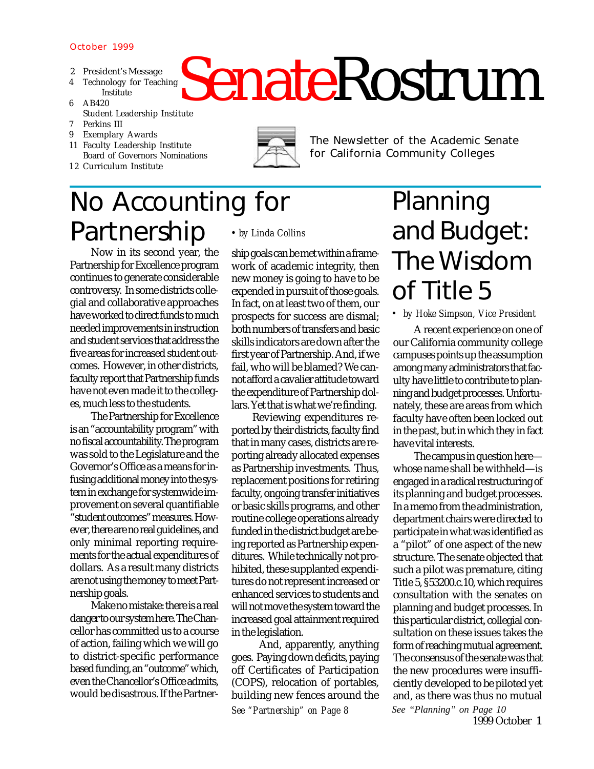#### October 1999

- 2 President's Message
	- 4 Technology for Teaching Institute
	- 6 AB420
- SenateRostrum Student Leadership Institute 7 Perkins III
	- 9 Exemplary Awards
	- 11 Faculty Leadership Institute Board of Governors Nominations
	- 1 2 Curriculum Institute



The Newsletter of the Academic Senate for California Community Colleges

## No Accounting for Partnership *• by Linda Collins*

Now in its second year, the Partnership for Excellence program continues to generate considerable controversy. In some districts collegial and collaborative approaches have worked to direct funds to much needed improvements in instruction and student services that address the five areas for increased student outcomes. However, in other districts, faculty report that Partnership funds have not even made it to the colleges, much less to the students.

The Partnership for Excellence is an "accountability program" with no fiscal accountability. The program was sold to the Legislature and the Governor's Office as a means for infusing additional money into the system in exchange for systemwide improvement on several quantifiable "student outcomes" measures. However, there are no real guidelines, and only minimal reporting requirements for the actual expenditures of dollars. As a result many districts are not using the money to meet Partnership goals.

Make no mistake: there is a real danger to our system here. The Chancellor has committed us to a course of action, failing which we will go to district-specific performance based funding, an "outcome" which, even the Chancellor's Office admits, would be disastrous. If the Partner-

ship goals can be met within a framework of academic integrity, then new money is going to have to be expended in pursuit of those goals. In fact, on at least two of them, our prospects for success are dismal; both numbers of transfers and basic skills indicators are down after the first year of Partnership. And, if we fail, who will be blamed? We cannot afford a cavalier attitude toward the expenditure of Partnership dollars. Yet that is what we're finding.

Reviewing expenditures reported by their districts, faculty find that in many cases, districts are reporting already allocated expenses as Partnership investments. Thus, replacement positions for retiring faculty, ongoing transfer initiatives or basic skills programs, and other routine college operations already funded in the district budget are being reported as Partnership expenditures. While technically not prohibited, these supplanted expenditures do not represent increased or enhanced services to students and will not move the system toward the increased goal attainment required in the legislation.

 And, apparently, anything goes. Paying down deficits, paying off Certificates of Participation (COPS), relocation of portables, building new fences around the *See "Partnership" on Page 8*

### Planning and Budget: The Wisdom of Title 5

*• by Hoke Simpson, Vice President*

A recent experience on one of our California community college campuses points up the assumption among many administrators that faculty have little to contribute to planning and budget processes. Unfortunately, these are areas from which faculty have often been locked out in the past, but in which they in fact have vital interests.

The campus in question here whose name shall be withheld—is engaged in a radical restructuring of its planning and budget processes. In a memo from the administration, department chairs were directed to participate in what was identified as a "pilot" of one aspect of the new structure. The senate objected that such a pilot was premature, citing Title 5, §53200.c.10, which requires consultation with the senates on planning and budget processes. In this particular district, collegial consultation on these issues takes the form of reaching mutual agreement. The consensus of the senate was that the new procedures were insufficiently developed to be piloted yet and, as there was thus no mutual *See "Planning" on Page 10*

1999 October **1**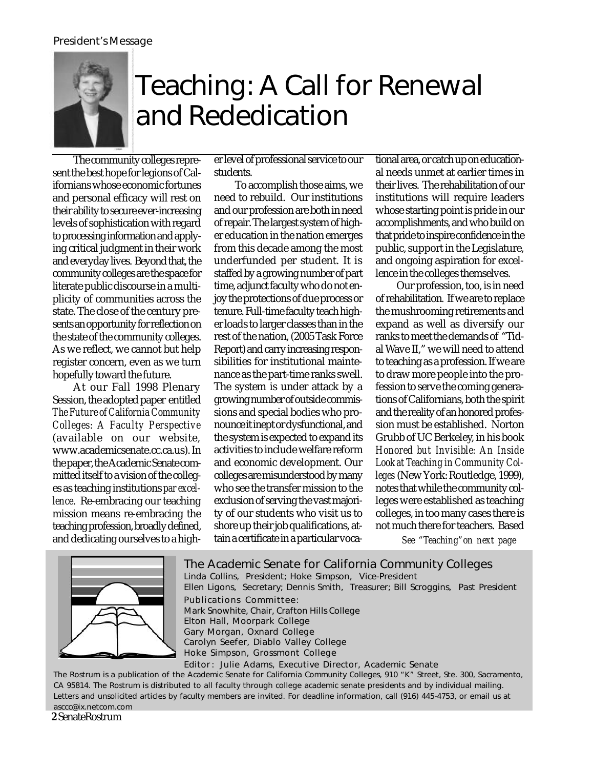#### President's Message



## Teaching: A Call for Renewal and Rededication

The community colleges represent the best hope for legions of Californians whose economic fortunes and personal efficacy will rest on their ability to secure ever-increasing levels of sophistication with regard to processing information and applying critical judgment in their work and everyday lives. Beyond that, the community colleges are the space for literate public discourse in a multiplicity of communities across the state. The close of the century presents an opportunity for reflection on the state of the community colleges. As we reflect, we cannot but help register concern, even as we turn hopefully toward the future.

At our Fall 1998 Plenary Session, the adopted paper entitled *The Future of California Community Colleges: A Faculty Perspective* (available on our website, www.academicsenate.cc.ca.us). In the paper, the Academic Senate committed itself to a vision of the colleges as teaching institutions *par excellence*. Re-embracing our teaching mission means re-embracing the teaching profession, broadly defined, and dedicating ourselves to a higher level of professional service to our students.

To accomplish those aims, we need to rebuild. Our institutions and our profession are both in need of repair. The largest system of higher education in the nation emerges from this decade among the most underfunded per student. It is staffed by a growing number of part time, adjunct faculty who do not enjoy the protections of due process or tenure. Full-time faculty teach higher loads to larger classes than in the rest of the nation, (2005 Task Force Report) and carry increasing responsibilities for institutional maintenance as the part-time ranks swell. The system is under attack by a growing number of outside commissions and special bodies who pronounce it inept or dysfunctional, and the system is expected to expand its activities to include welfare reform and economic development. Our colleges are misunderstood by many who see the transfer mission to the exclusion of serving the vast majority of our students who visit us to shore up their job qualifications, attain a certificate in a particular voca-

tional area, or catch up on educational needs unmet at earlier times in their lives. The rehabilitation of our institutions will require leaders whose starting point is pride in our accomplishments, and who build on that pride to inspire confidence in the public, support in the Legislature, and ongoing aspiration for excellence in the colleges themselves.

Our profession, too, is in need of rehabilitation*.* If we are to replace the mushrooming retirements and expand as well as diversify our ranks to meet the demands of "Tidal Wave II," we will need to attend to teaching as a profession. If we are to draw more people into the profession to serve the coming generations of Californians, both the spirit and the reality of an honored profession must be established. Norton Grubb of UC Berkeley, in his book *Honored but Invisible: An Inside Look at Teaching in Community Colleges* (New York: Routledge, 1999), notes that while the community colleges were established as teaching colleges, in too many cases there is not much there for teachers. Based

*See "Teaching"on next page*



The Rostrum is a publication of the Academic Senate for California Community Colleges, 910 "K" Street, Ste. 300, Sacramento, CA 95814. The Rostrum is distributed to all faculty through college academic senate presidents and by individual mailing. Letters and unsolicited articles by faculty members are invited. For deadline information, call (916) 445-4753, or email us at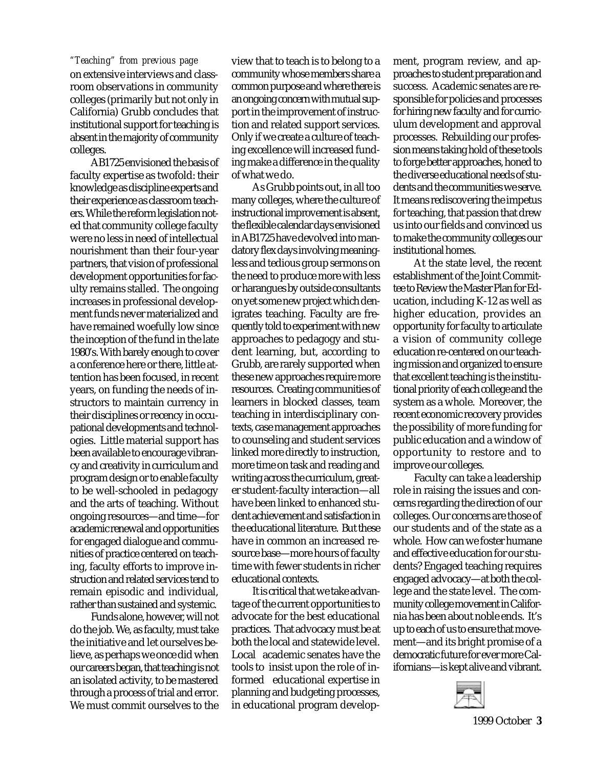on extensive interviews and classroom observations in community colleges (primarily but not only in California) Grubb concludes that institutional support for teaching is absent in the majority of community colleges.

AB1725 envisioned the basis of faculty expertise as twofold: their knowledge as discipline experts and their experience as classroom teachers. While the reform legislation noted that community college faculty were no less in need of intellectual nourishment than their four-year partners, that vision of professional development opportunities for faculty remains stalled. The ongoing increases in professional development funds never materialized and have remained woefully low since the inception of the fund in the late 1980's. With barely enough to cover a conference here or there, little attention has been focused, in recent years, on funding the needs of instructors to maintain currency in their disciplines or recency in occupational developments and technologies. Little material support has been available to encourage vibrancy and creativity in curriculum and program design or to enable faculty to be well-schooled in pedagogy and the arts of teaching. Without ongoing resources—and time—for academic renewal and opportunities for engaged dialogue and communities of practice centered on teaching, faculty efforts to improve instruction and related services tend to remain episodic and individual, rather than sustained and systemic.

Funds alone, however, will not do the job. We, as faculty, must take the initiative and let ourselves believe, as perhaps we once did when our careers began, that teaching is not an isolated activity, to be mastered through a process of trial and error. We must commit ourselves to the

view that to teach is to belong to a community whose members share a common purpose and where there is an ongoing concern with mutual support in the improvement of instruction and related support services. Only if we create a culture of teaching excellence will increased funding make a difference in the quality of what we do. *"Teaching" from previous page* ment, program review, and ap-

> As Grubb points out, in all too many colleges, where the culture of instructional improvement is absent, the flexible calendar days envisioned in AB1725 have devolved into mandatory flex days involving meaningless and tedious group sermons on the need to produce more with less or harangues by outside consultants on yet some new project which denigrates teaching. Faculty are frequently told to experiment with new approaches to pedagogy and student learning, but, according to Grubb, are rarely supported when these new approaches require more resources. Creating communities of learners in blocked classes, team teaching in interdisciplinary contexts, case management approaches to counseling and student services linked more directly to instruction, more time on task and reading and writing across the curriculum, greater student-faculty interaction—all have been linked to enhanced student achievement and satisfaction in the educational literature. But these have in common an increased resource base—more hours of faculty time with fewer students in richer educational contexts.

> It is critical that we take advantage of the current opportunities to advocate for the best educational practices. That advocacy must be at both the local and statewide level. Local academic senates have the tools to insist upon the role of informed educational expertise in planning and budgeting processes, in educational program develop-

proaches to student preparation and success. Academic senates are responsible for policies and processes for hiring new faculty and for curriculum development and approval processes. Rebuilding our profession means taking hold of these tools to forge better approaches, honed to the diverse educational needs of students and the communities we serve. It means rediscovering the impetus for teaching, that passion that drew us into our fields and convinced us to make the community colleges our institutional homes.

At the state level, the recent establishment of the Joint Committee to Review the Master Plan for Education, including K-12 as well as higher education, provides an opportunity for faculty to articulate a vision of community college education re-centered on our teaching mission and organized to ensure that excellent teaching is the institutional priority of each college and the system as a whole. Moreover, the recent economic recovery provides the possibility of more funding for public education and a window of opportunity to restore and to improve our colleges.

Faculty can take a leadership role in raising the issues and concerns regarding the direction of our colleges. Our concerns are those of our students and of the state as a whole. How can we foster humane and effective education for our students? Engaged teaching requires engaged advocacy—at both the college and the state level. The community college movement in California has been about noble ends. It's up to each of us to ensure that movement—and its bright promise of a democratic future for ever more Californians—is kept alive and vibrant.

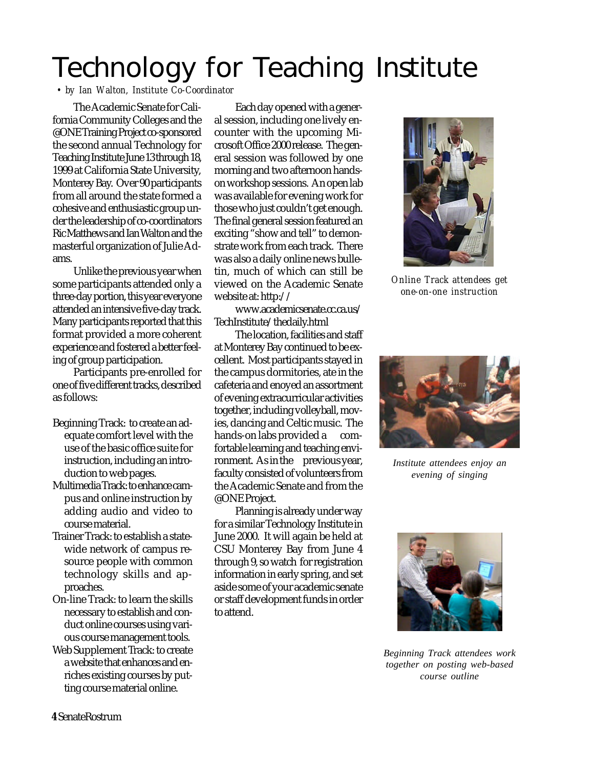# Technology for Teaching Institute

*• by Ian Walton, Institute Co-Coordinator*

The Academic Senate for California Community Colleges and the @ONE Training Project co-sponsored the second annual Technology for Teaching Institute June 13 through 18, 1999 at California State University, Monterey Bay. Over 90 participants from all around the state formed a cohesive and enthusiastic group under the leadership of co-coordinators Ric Matthews and Ian Walton and the masterful organization of Julie Adams.

Unlike the previous year when some participants attended only a three-day portion, this year everyone attended an intensive five-day track. Many participants reported that this format provided a more coherent experience and fostered a better feeling of group participation.

Participants pre-enrolled for one of five different tracks, described as follows:

- Beginning Track: to create an adequate comfort level with the use of the basic office suite for instruction, including an introduction to web pages.
- Multimedia Track: to enhance campus and online instruction by adding audio and video to course material.
- Trainer Track: to establish a statewide network of campus resource people with common technology skills and approaches.
- On-line Track: to learn the skills necessary to establish and conduct online courses using various course management tools.
- Web Supplement Track: to create a website that enhances and enriches existing courses by putting course material online.

Each day opened with a general session, including one lively encounter with the upcoming Microsoft Office 2000 release. The general session was followed by one morning and two afternoon handson workshop sessions. An open lab was available for evening work for those who just couldn't get enough. The final general session featured an exciting "show and tell" to demonstrate work from each track. There was also a daily online news bulletin, much of which can still be viewed on the Academic Senate website at: http://

www.academicsenate.cc.ca.us/ TechInstitute/thedaily.html

The location, facilities and staff at Monterey Bay continued to be excellent. Most participants stayed in the campus dormitories, ate in the cafeteria and enoyed an assortment of evening extracurricular activities together, including volleyball, movies, dancing and Celtic music. The hands-on labs provided a comfortable learning and teaching environment. As in the previous year, faculty consisted of volunteers from the Academic Senate and from the @ONE Project.

Planning is already under way for a similar Technology Institute in June 2000. It will again be held at CSU Monterey Bay from June 4 through 9, so watch for registration information in early spring, and set aside some of your academic senate or staff development funds in order to attend.



*Online Track attendees get one-on-one instruction*



*Institute attendees enjoy an evening of singing*



*Beginning Track attendees work together on posting web-based course outline*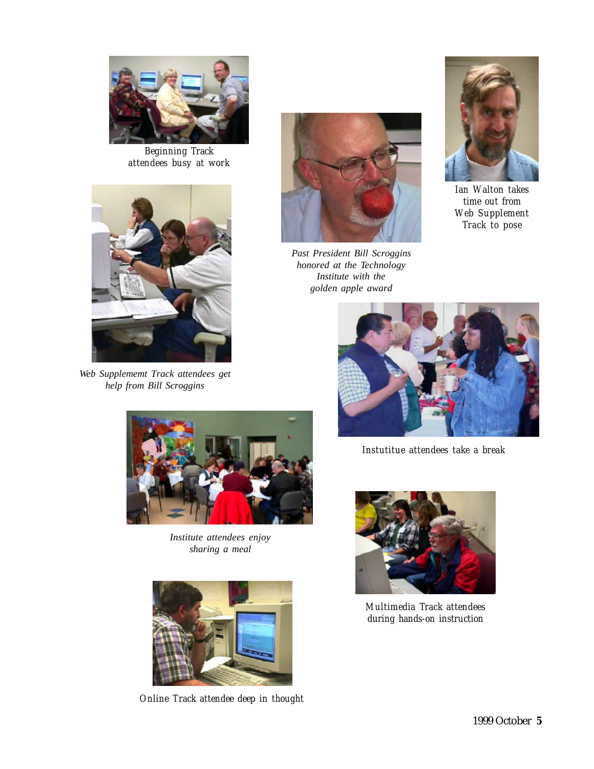

*Beginning Track attendees busy at work*



*Web Supplememt Track attendees get help from Bill Scroggins*



*Past President Bill Scroggins honored at the Technology Institute with the golden apple award*



*Ian Walton takes time out from Web Supplement Track to pose*



*Instutitue attendees take a break*



*Institute attendees enjoy sharing a meal*



*Online Track attendee deep in thought*



*Multimedia Track attendees during hands-on instruction*

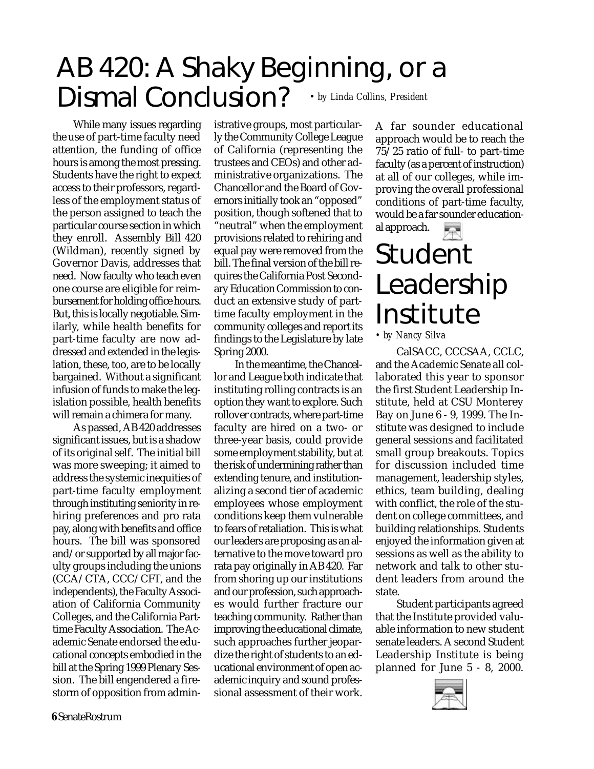### AB 420: A Shaky Beginning, or a Dismal Conclusion? *• by Linda Collins, President*

While many issues regarding the use of part-time faculty need attention, the funding of office hours is among the most pressing. Students have the right to expect access to their professors, regardless of the employment status of the person assigned to teach the particular course section in which they enroll. Assembly Bill 420 (Wildman), recently signed by Governor Davis, addresses that need. Now faculty who teach even one course are eligible for reimbursement for holding office hours. But, this is locally negotiable. Similarly, while health benefits for part-time faculty are now addressed and extended in the legislation, these, too, are to be locally bargained. Without a significant infusion of funds to make the legislation possible, health benefits will remain a chimera for many.

As passed, AB 420 addresses significant issues, but is a shadow of its original self. The initial bill was more sweeping; it aimed to address the systemic inequities of part-time faculty employment through instituting seniority in rehiring preferences and pro rata pay, along with benefits and office hours. The bill was sponsored and/or supported by all major faculty groups including the unions (CCA/CTA, CCC/CFT, and the independents), the Faculty Association of California Community Colleges, and the California Parttime Faculty Association. The Academic Senate endorsed the educational concepts embodied in the bill at the Spring 1999 Plenary Session. The bill engendered a firestorm of opposition from administrative groups, most particularly the Community College League of California (representing the trustees and CEOs) and other administrative organizations. The Chancellor and the Board of Governors initially took an "opposed" position, though softened that to "neutral" when the employment provisions related to rehiring and equal pay were removed from the bill. The final version of the bill requires the California Post Secondary Education Commission to conduct an extensive study of parttime faculty employment in the community colleges and report its findings to the Legislature by late Spring 2000.

In the meantime, the Chancellor and League both indicate that instituting rolling contracts is an option they want to explore. Such rollover contracts, where part-time faculty are hired on a two- or three-year basis, could provide some employment stability, but at the risk of undermining rather than extending tenure, and institutionalizing a second tier of academic employees whose employment conditions keep them vulnerable to fears of retaliation. This is what our leaders are proposing as an alternative to the move toward pro rata pay originally in AB 420.Far from shoring up our institutions and our profession, such approaches would further fracture our teaching community. Rather than improving the educational climate, such approaches further jeopardize the right of students to an educational environment of open academic inquiry and sound professional assessment of their work. A far sounder educational approach would be to reach the 75/25 ratio of full- to part-time faculty (as a percent of instruction) at all of our colleges, while improving the overall professional conditions of part-time faculty, would be a far sounder educational approach.

# Student Leadership Institute

*• by Nancy Silva*

CalSACC, CCCSAA, CCLC, and the Academic Senate all collaborated this year to sponsor the first Student Leadership Institute, held at CSU Monterey Bay on June 6 - 9, 1999. The Institute was designed to include general sessions and facilitated small group breakouts. Topics for discussion included time management, leadership styles, ethics, team building, dealing with conflict, the role of the student on college committees, and building relationships. Students enjoyed the information given at sessions as well as the ability to network and talk to other student leaders from around the state.

Student participants agreed that the Institute provided valuable information to new student senate leaders. A second Student Leadership Institute is being planned for June 5 - 8, 2000.

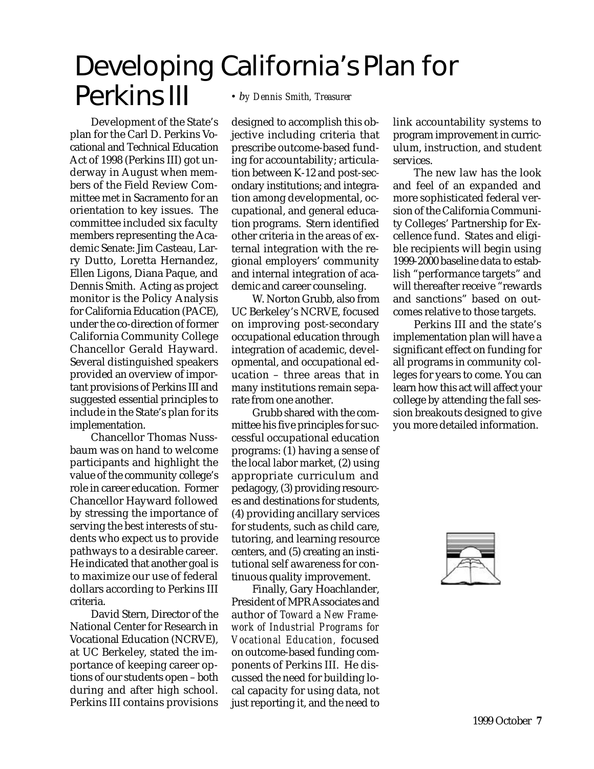### Developing California's Plan for Perkins III *• by Dennis Smith, Treasurer*

Development of the State's plan for the Carl D. Perkins Vocational and Technical Education Act of 1998 (Perkins III) got underway in August when members of the Field Review Committee met in Sacramento for an orientation to key issues. The committee included six faculty members representing the Academic Senate: Jim Casteau, Larry Dutto, Loretta Hernandez, Ellen Ligons, Diana Paque, and Dennis Smith. Acting as project monitor is the Policy Analysis for California Education (PACE), under the co-direction of former California Community College Chancellor Gerald Hayward. Several distinguished speakers provided an overview of important provisions of Perkins III and suggested essential principles to include in the State's plan for its implementation.

Chancellor Thomas Nussbaum was on hand to welcome participants and highlight the value of the community college's role in career education. Former Chancellor Hayward followed by stressing the importance of serving the best interests of students who expect us to provide pathways to a desirable career. He indicated that another goal is to maximize our use of federal dollars according to Perkins III criteria.

David Stern, Director of the National Center for Research in Vocational Education (NCRVE), at UC Berkeley, stated the importance of keeping career options of our students open – both during and after high school. Perkins III contains provisions

designed to accomplish this objective including criteria that prescribe outcome-based funding for accountability; articulation between K-12 and post-secondary institutions; and integration among developmental, occupational, and general education programs. Stern identified other criteria in the areas of external integration with the regional employers' community and internal integration of academic and career counseling.

W. Norton Grubb, also from UC Berkeley's NCRVE, focused on improving post-secondary occupational education through integration of academic, developmental, and occupational education – three areas that in many institutions remain separate from one another.

Grubb shared with the committee his five principles for successful occupational education programs: (1) having a sense of the local labor market, (2) using appropriate curriculum and pedagogy, (3) providing resources and destinations for students, (4) providing ancillary services for students, such as child care, tutoring, and learning resource centers, and (5) creating an institutional self awareness for continuous quality improvement.

Finally, Gary Hoachlander, President of MPR Associates and author of *Toward a New Framework of Industrial Programs for Vocational Education,* focused on outcome-based funding components of Perkins III. He discussed the need for building local capacity for using data, not just reporting it, and the need to

link accountability systems to program improvement in curriculum, instruction, and student services.

The new law has the look and feel of an expanded and more sophisticated federal version of the California Community Colleges' Partnership for Excellence fund. States and eligible recipients will begin using 1999-2000 baseline data to establish "performance targets" and will thereafter receive "rewards and sanctions" based on outcomes relative to those targets.

Perkins III and the state's implementation plan will have a significant effect on funding for all programs in community colleges for years to come. You can learn how this act will affect your college by attending the fall session breakouts designed to give you more detailed information.

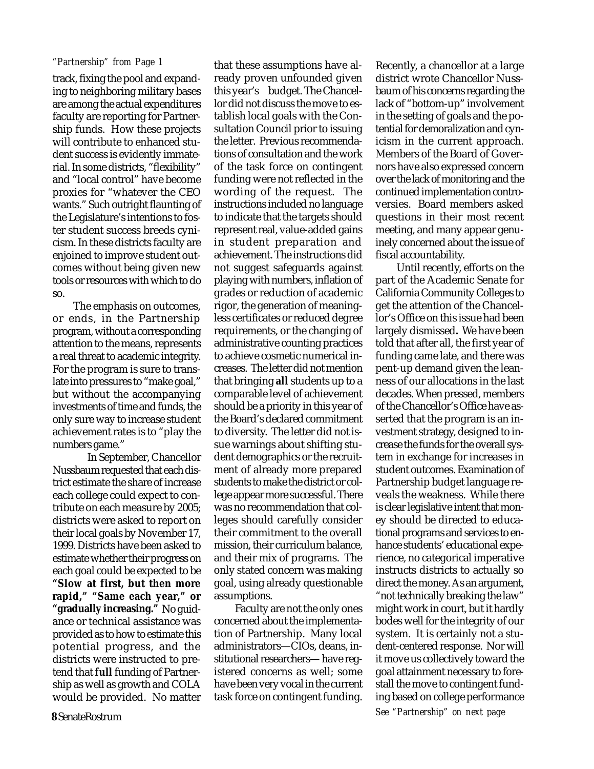#### *"Partnership" from Page 1* that these assumptions have al-

track, fixing the pool and expanding to neighboring military bases are among the actual expenditures faculty are reporting for Partnership funds. How these projects will contribute to enhanced student success is evidently immaterial. In some districts, "flexibility" and "local control" have become proxies for "whatever the CEO wants." Such outright flaunting of the Legislature's intentions to foster student success breeds cynicism. In these districts faculty are enjoined to improve student outcomes without being given new tools or resources with which to do so.

The emphasis on outcomes, or ends, in the Partnership program, without a corresponding attention to the means, represents a real threat to academic integrity. For the program is sure to translate into pressures to "make goal," but without the accompanying investments of time and funds, the only sure way to increase student achievement rates is to "play the numbers game."

In September, Chancellor Nussbaum requested that each district estimate the share of increase each college could expect to contribute on each measure by 2005; districts were asked to report on their local goals by November 17, 1999. Districts have been asked to estimate whether their progress on each goal could be expected to be **"Slow at first, but then more rapid," "Same each year," or "gradually increasing."** No guidance or technical assistance was provided as to how to estimate this potential progress, and the districts were instructed to pretend that **full** funding of Partnership as well as growth and COLA would be provided. No matter

ready proven unfounded given this year's budget. The Chancellor did not discuss the move to establish local goals with the Consultation Council prior to issuing the letter. Previous recommendations of consultation and the work of the task force on contingent funding were not reflected in the wording of the request. The instructions included no language to indicate that the targets should represent real, value-added gains in student preparation and achievement. The instructions did not suggest safeguards against playing with numbers, inflation of grades or reduction of academic rigor, the generation of meaningless certificates or reduced degree requirements, or the changing of administrative counting practices to achieve cosmetic numerical increases. The letter did not mention that bringing **all** students up to a comparable level of achievement should be a priority in this year of the Board's declared commitment to diversity. The letter did not issue warnings about shifting student demographics or the recruitment of already more prepared students to make the district or college appear more successful. There was no recommendation that colleges should carefully consider their commitment to the overall mission, their curriculum balance, and their mix of programs. The only stated concern was making goal, using already questionable assumptions. Faculty are not the only ones concerned about the implementation of Partnership. Many local administrators—CIOs, deans, in-

stitutional researchers— have registered concerns as well; some have been very vocal in the current task force on contingent funding.

Recently, a chancellor at a large district wrote Chancellor Nussbaum of his concerns regarding the lack of "bottom-up" involvement in the setting of goals and the potential for demoralization and cynicism in the current approach. Members of the Board of Governors have also expressed concern over the lack of monitoring and the continued implementation controversies. Board members asked questions in their most recent meeting, and many appear genuinely concerned about the issue of fiscal accountability.

Until recently, efforts on the part of the Academic Senate for California Community Colleges to get the attention of the Chancellor's Office on this issue had been largely dismissed**.** We have been told that after all, the first year of funding came late, and there was pent-up demand given the leanness of our allocations in the last decades. When pressed, members of the Chancellor's Office have asserted that the program is an investment strategy, designed to increase the funds for the overall system in exchange for increases in student outcomes. Examination of Partnership budget language reveals the weakness. While there is clear legislative intent that money should be directed to educational programs and services to enhance students' educational experience, no categorical imperative instructs districts to actually so direct the money. As an argument, "not technically breaking the law" might work in court, but it hardly bodes well for the integrity of our system. It is certainly not a student-centered response. Nor will it move us collectively toward the goal attainment necessary to forestall the move to contingent funding based on college performance *See "Partnership" on next page*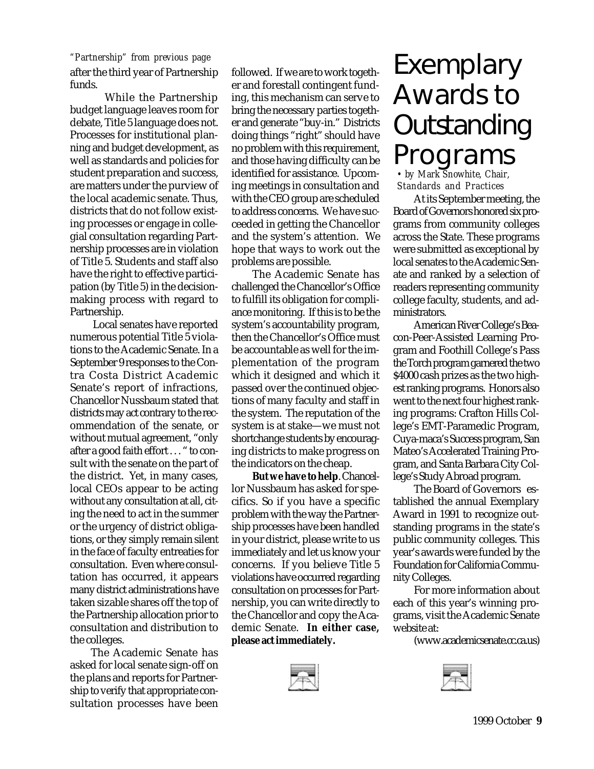after the third year of Partnership funds. *"Partnership" from previous page*

While the Partnership budget language leaves room for debate, Title 5 language does not. Processes for institutional planning and budget development, as well as standards and policies for student preparation and success, are matters under the purview of the local academic senate. Thus, districts that do not follow existing processes or engage in collegial consultation regarding Partnership processes are in violation of Title 5. Students and staff also have the right to effective participation (by Title 5) in the decisionmaking process with regard to Partnership.

 Local senates have reported numerous potential Title 5 violations to the Academic Senate. In a September 9 responses to the Contra Costa District Academic Senate's report of infractions, Chancellor Nussbaum stated that districts may act contrary to the recommendation of the senate, or without mutual agreement, "only after a good faith effort . . . " to consult with the senate on the part of the district. Yet, in many cases, local CEOs appear to be acting without any consultation at all, citing the need to act in the summer or the urgency of district obligations, or they simply remain silent in the face of faculty entreaties for consultation. Even where consultation has occurred, it appears many district administrations have taken sizable shares off the top of the Partnership allocation prior to consultation and distribution to the colleges.

The Academic Senate has asked for local senate sign-off on the plans and reports for Partnership to verify that appropriate consultation processes have been

followed. If we are to work together and forestall contingent funding, this mechanism can serve to bring the necessary parties together and generate "buy-in." Districts doing things "right" should have no problem with this requirement, and those having difficulty can be identified for assistance. Upcoming meetings in consultation and with the CEO group are scheduled to address concerns. We have succeeded in getting the Chancellor and the system's attention. We hope that ways to work out the problems are possible.

The Academic Senate has challenged the Chancellor's Office to fulfill its obligation for compliance monitoring. If this is to be the system's accountability program, then the Chancellor's Office must be accountable as well for the implementation of the program which it designed and which it passed over the continued objections of many faculty and staff in the system. The reputation of the system is at stake—we must not shortchange students by encouraging districts to make progress on the indicators on the cheap.

**But we have to help**. Chancellor Nussbaum has asked for specifics. So if you have a specific problem with the way the Partnership processes have been handled in your district, please write to us immediately and let us know your concerns. If you believe Title 5 violations have occurred regarding consultation on processes for Partnership, you can write directly to the Chancellor and copy the Academic Senate. **In either case, please act immediately.**



## Exemplary Awards to **Outstanding** Programs

*• by Mark Snowhite, Chair, Standards and Practices*

At its September meeting, the Board of Governors honored six programs from community colleges across the State. These programs were submitted as exceptional by local senates to the Academic Senate and ranked by a selection of readers representing community college faculty, students, and administrators.

American River College's Beacon-Peer-Assisted Learning Program and Foothill College's Pass the Torch program garnered the two \$4000 cash prizes as the two highest ranking programs. Honors also went to the next four highest ranking programs: Crafton Hills College's EMT-Paramedic Program, Cuya-maca's Success program, San Mateo's Accelerated Training Program, and Santa Barbara City College's Study Abroad program.

The Board of Governors established the annual Exemplary Award in 1991 to recognize outstanding programs in the state's public community colleges. This year's awards were funded by the Foundation for California Community Colleges.

For more information about each of this year's winning programs, visit the Academic Senate website at:

(www.academicsenate.cc.ca.us)

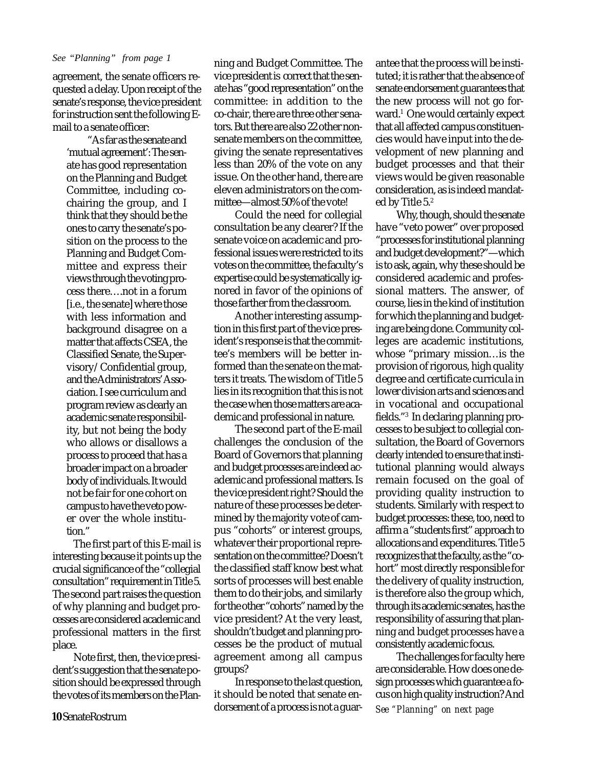agreement, the senate officers requested a delay. Upon receipt of the senate's response, the vice president for instruction sent the following Email to a senate officer:

"As far as the senate and 'mutual agreement': The senate has good representation on the Planning and Budget Committee, including cochairing the group, and I think that they should be the ones to carry the senate's position on the process to the Planning and Budget Committee and express their views through the voting process there….not in a forum [i.e., the senate] where those with less information and background disagree on a matter that affects CSEA, the Classified Senate, the Supervisory/Confidential group, and the Administrators' Association. I see curriculum and program review as clearly an academic senate responsibility, but not being the body who allows or disallows a process to proceed that has a broader impact on a broader body of individuals. It would not be fair for one cohort on campus to have the veto power over the whole institution."

The first part of this E-mail is interesting because it points up the crucial significance of the "collegial consultation" requirement in Title 5. The second part raises the question of why planning and budget processes are considered academic and professional matters in the first place.

Note first, then, the vice president's suggestion that the senate position should be expressed through the votes of its members on the Plan-

*See "Planning" from page 1* ning and Budget Committee. The vice president is correct that the senate has "good representation" on the committee: in addition to the co-chair, there are three other senators. But there are also 22 other nonsenate members on the committee, giving the senate representatives less than 20% of the vote on any issue. On the other hand, there are eleven administrators on the committee—almost 50% of the vote!

> Could the need for collegial consultation be any clearer? If the senate voice on academic and professional issues were restricted to its votes on the committee, the faculty's expertise could be systematically ignored in favor of the opinions of those farther from the classroom.

> Another interesting assumption in this first part of the vice president's response is that the committee's members will be better informed than the senate on the matters it treats. The wisdom of Title 5 lies in its recognition that this is not the case when those matters are academic and professional in nature.

> The second part of the E-mail challenges the conclusion of the Board of Governors that planning and budget processes are indeed academic and professional matters. Is the vice president right? Should the nature of these processes be determined by the majority vote of campus "cohorts" or interest groups, whatever their proportional representation on the committee? Doesn't the classified staff know best what sorts of processes will best enable them to do their jobs, and similarly for the other "cohorts" named by the vice president? At the very least, shouldn't budget and planning processes be the product of mutual agreement among all campus groups?

> In response to the last question, it should be noted that senate endorsement of a process is not a guar-

antee that the process will be instituted; it is rather that the absence of senate endorsement guarantees that the new process will not go forward.<sup>1</sup> One would certainly expect that all affected campus constituencies would have input into the development of new planning and budget processes and that their views would be given reasonable consideration, as is indeed mandated by Title 5.<sup>2</sup>

Why, though, should the senate have "veto power" over proposed "processes for institutional planning and budget development?"—which is to ask, again, why these should be considered academic and professional matters. The answer, of course, lies in the kind of institution for which the planning and budgeting are being done. Community colleges are academic institutions, whose "primary mission…is the provision of rigorous, high quality degree and certificate curricula in lower division arts and sciences and in vocational and occupational fields."<sup>3</sup> In declaring planning processes to be subject to collegial consultation, the Board of Governors clearly intended to ensure that institutional planning would always remain focused on the goal of providing quality instruction to students. Similarly with respect to budget processes: these, too, need to affirm a "students first" approach to allocations and expenditures. Title 5 recognizes that the faculty, as the "cohort" most directly responsible for the delivery of quality instruction, is therefore also the group which, through its academic senates, has the responsibility of assuring that planning and budget processes have a consistently academic focus.

The challenges for faculty here are considerable. How does one design processes which guarantee a focus on high quality instruction? And *See "Planning" on next page*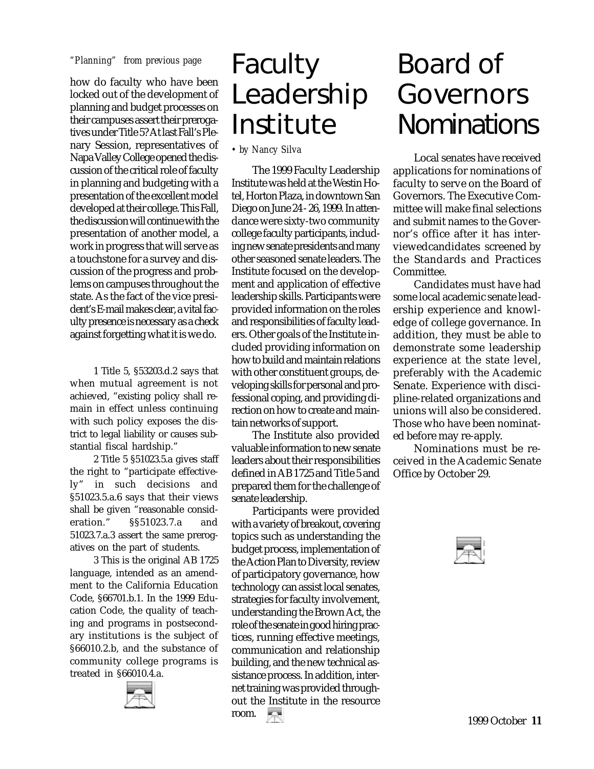how do faculty who have been locked out of the development of planning and budget processes on their campuses assert their prerogatives under Title 5? At last Fall's Plenary Session, representatives of Napa Valley College opened the discussion of the critical role of faculty in planning and budgeting with a presentation of the excellent model developed at their college. This Fall, the discussion will continue with the presentation of another model, a work in progress that will serve as a touchstone for a survey and discussion of the progress and problems on campuses throughout the state. As the fact of the vice president's E-mail makes clear, a vital faculty presence is necessary as a check against forgetting what it is we do.

1 Title 5, §53203.d.2 says that when mutual agreement is not achieved, "existing policy shall remain in effect unless continuing with such policy exposes the district to legal liability or causes substantial fiscal hardship."

2 Title 5 §51023.5.a gives staff the right to "participate effectively" in such decisions and §51023.5.a.6 says that their views shall be given "reasonable consideration." §§51023.7.a and 51023.7.a.3 assert the same prerogatives on the part of students.

3 This is the original AB 1725 language, intended as an amendment to the California Education Code, §66701.b.1. In the 1999 Education Code, the quality of teaching and programs in postsecondary institutions is the subject of §66010.2.b, and the substance of community college programs is treated in §66010.4.a.



## "Planning" from previous page Faculty Leadership Institute

*• by Nancy Silva*

The 1999 Faculty Leadership Institute was held at the Westin Hotel, Horton Plaza, in downtown San Diego on June 24 - 26, 1999. In attendance were sixty-two community college faculty participants, including new senate presidents and many other seasoned senate leaders. The Institute focused on the development and application of effective leadership skills. Participants were provided information on the roles and responsibilities of faculty leaders. Other goals of the Institute included providing information on how to build and maintain relations with other constituent groups, developing skills for personal and professional coping, and providing direction on how to create and maintain networks of support.

The Institute also provided valuable information to new senate leaders about their responsibilities defined in AB 1725 and Title 5 and prepared them for the challenge of senate leadership.

Participants were provided with a variety of breakout, covering topics such as understanding the budget process, implementation of the Action Plan to Diversity, review of participatory governance, how technology can assist local senates, strategies for faculty involvement, understanding the Brown Act, the role of the senate in good hiring practices, running effective meetings, communication and relationship building, and the new technical assistance process. In addition, internet training was provided throughout the Institute in the resource room.

## Board of Governors **Nominations**

Local senates have received applications for nominations of faculty to serve on the Board of Governors. The Executive Committee will make final selections and submit names to the Governor's office after it has interviewedcandidates screened by the Standards and Practices Committee.

Candidates must have had some local academic senate leadership experience and knowledge of college governance. In addition, they must be able to demonstrate some leadership experience at the state level, preferably with the Academic Senate. Experience with discipline-related organizations and unions will also be considered. Those who have been nominated before may re-apply.

Nominations must be received in the Academic Senate Office by October 29.